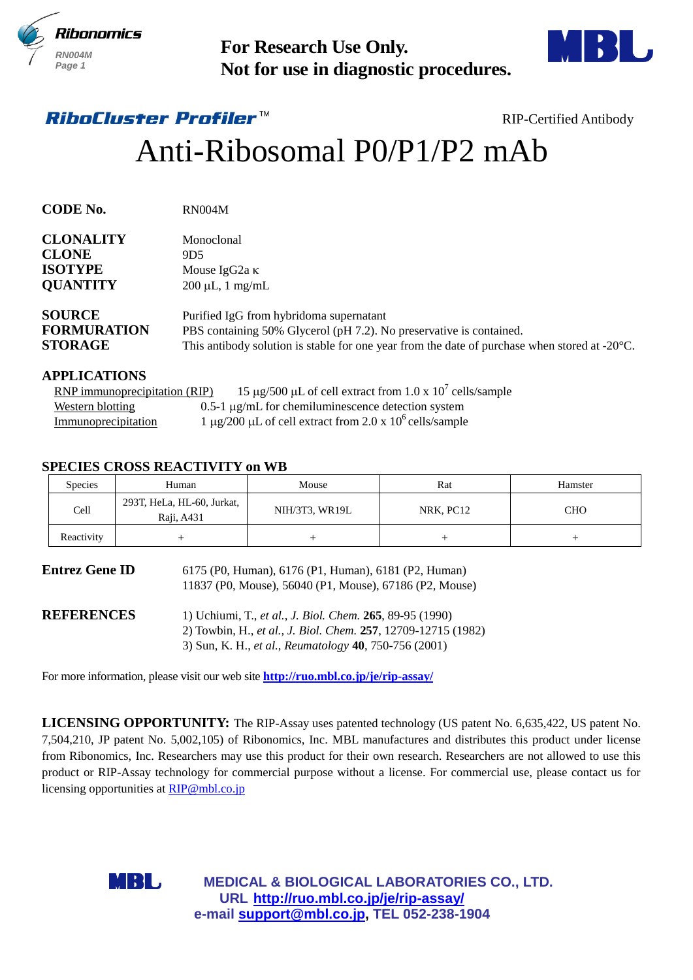



# Anti-Ribosomal P0/P1/P2 mAb

| <b>For Research Use Only.</b><br>Not for use in diagnostic procedures.                                                                                                             |                                                                                                                                       |                                                                              |                                                                                                                                                                                                                                                                                                                                                                                                                                                                                                                                                                                                                                                                                                                                                                                                                                                                                                                                                                                                                                                                                                                                                                                                            |
|------------------------------------------------------------------------------------------------------------------------------------------------------------------------------------|---------------------------------------------------------------------------------------------------------------------------------------|------------------------------------------------------------------------------|------------------------------------------------------------------------------------------------------------------------------------------------------------------------------------------------------------------------------------------------------------------------------------------------------------------------------------------------------------------------------------------------------------------------------------------------------------------------------------------------------------------------------------------------------------------------------------------------------------------------------------------------------------------------------------------------------------------------------------------------------------------------------------------------------------------------------------------------------------------------------------------------------------------------------------------------------------------------------------------------------------------------------------------------------------------------------------------------------------------------------------------------------------------------------------------------------------|
|                                                                                                                                                                                    |                                                                                                                                       |                                                                              | <b>RIP-Certified Antibody</b>                                                                                                                                                                                                                                                                                                                                                                                                                                                                                                                                                                                                                                                                                                                                                                                                                                                                                                                                                                                                                                                                                                                                                                              |
|                                                                                                                                                                                    |                                                                                                                                       |                                                                              |                                                                                                                                                                                                                                                                                                                                                                                                                                                                                                                                                                                                                                                                                                                                                                                                                                                                                                                                                                                                                                                                                                                                                                                                            |
| <b>RN004M</b>                                                                                                                                                                      |                                                                                                                                       |                                                                              |                                                                                                                                                                                                                                                                                                                                                                                                                                                                                                                                                                                                                                                                                                                                                                                                                                                                                                                                                                                                                                                                                                                                                                                                            |
| Monoclonal<br>9D <sub>5</sub>                                                                                                                                                      | Mouse IgG <sub>2a</sub> κ<br>200 µL, 1 mg/mL                                                                                          |                                                                              |                                                                                                                                                                                                                                                                                                                                                                                                                                                                                                                                                                                                                                                                                                                                                                                                                                                                                                                                                                                                                                                                                                                                                                                                            |
|                                                                                                                                                                                    |                                                                                                                                       |                                                                              |                                                                                                                                                                                                                                                                                                                                                                                                                                                                                                                                                                                                                                                                                                                                                                                                                                                                                                                                                                                                                                                                                                                                                                                                            |
|                                                                                                                                                                                    |                                                                                                                                       |                                                                              |                                                                                                                                                                                                                                                                                                                                                                                                                                                                                                                                                                                                                                                                                                                                                                                                                                                                                                                                                                                                                                                                                                                                                                                                            |
|                                                                                                                                                                                    | Mouse                                                                                                                                 | Rat                                                                          | Hamster                                                                                                                                                                                                                                                                                                                                                                                                                                                                                                                                                                                                                                                                                                                                                                                                                                                                                                                                                                                                                                                                                                                                                                                                    |
|                                                                                                                                                                                    | NIH/3T3, WR19L                                                                                                                        | NRK, PC12                                                                    | <b>CHO</b>                                                                                                                                                                                                                                                                                                                                                                                                                                                                                                                                                                                                                                                                                                                                                                                                                                                                                                                                                                                                                                                                                                                                                                                                 |
| $^{+}$                                                                                                                                                                             | $^{+}$                                                                                                                                | $^{+}$                                                                       | $^{+}$                                                                                                                                                                                                                                                                                                                                                                                                                                                                                                                                                                                                                                                                                                                                                                                                                                                                                                                                                                                                                                                                                                                                                                                                     |
|                                                                                                                                                                                    |                                                                                                                                       |                                                                              |                                                                                                                                                                                                                                                                                                                                                                                                                                                                                                                                                                                                                                                                                                                                                                                                                                                                                                                                                                                                                                                                                                                                                                                                            |
| 1) Uchiumi, T., et al., J. Biol. Chem. 265, 89-95 (1990)<br>2) Towbin, H., et al., J. Biol. Chem. 257, 12709-12715 (1982)<br>3) Sun, K. H., et al., Reumatology 40, 750-756 (2001) |                                                                                                                                       |                                                                              |                                                                                                                                                                                                                                                                                                                                                                                                                                                                                                                                                                                                                                                                                                                                                                                                                                                                                                                                                                                                                                                                                                                                                                                                            |
|                                                                                                                                                                                    |                                                                                                                                       |                                                                              |                                                                                                                                                                                                                                                                                                                                                                                                                                                                                                                                                                                                                                                                                                                                                                                                                                                                                                                                                                                                                                                                                                                                                                                                            |
| URL http://ruo.mbl.co.jp/je/rip-assay/                                                                                                                                             |                                                                                                                                       |                                                                              |                                                                                                                                                                                                                                                                                                                                                                                                                                                                                                                                                                                                                                                                                                                                                                                                                                                                                                                                                                                                                                                                                                                                                                                                            |
|                                                                                                                                                                                    | <b>RNP</b> immunoprecipitation (RIP)<br>Human<br>293T, HeLa, HL-60, Jurkat,<br>Raji, A431<br>licensing opportunities at RIP@mbl.co.jp | <i><b>RiboCluster Profiler™</b></i><br><b>SPECIES CROSS REACTIVITY on WB</b> | Anti-Ribosomal P0/P1/P2 mAb<br>Purified IgG from hybridoma supernatant<br>PBS containing 50% Glycerol (pH 7.2). No preservative is contained.<br>This antibody solution is stable for one year from the date of purchase when stored at $-20^{\circ}$ C.<br>15 µg/500 µL of cell extract from 1.0 x $10^7$ cells/sample<br>$0.5$ -1 $\mu$ g/mL for chemiluminescence detection system<br>1 µg/200 µL of cell extract from 2.0 x $10^6$ cells/sample<br>6175 (P0, Human), 6176 (P1, Human), 6181 (P2, Human)<br>11837 (P0, Mouse), 56040 (P1, Mouse), 67186 (P2, Mouse)<br>For more information, please visit our web site <b>http://ruo.mbl.co.jp/je/rip-assay/</b><br><b>LICENSING OPPORTUNITY:</b> The RIP-Assay uses patented technology (US patent No. 6,635,422, US patent No.<br>7,504,210, JP patent No. 5,002,105) of Ribonomics, Inc. MBL manufactures and distributes this product under license<br>from Ribonomics, Inc. Researchers may use this product for their own research. Researchers are not allowed to use this<br>product or RIP-Assay technology for commercial purpose without a license. For commercial use, please contact us for<br>MEDICAL & BIOLOGICAL LABORATORIES CO., LTD. |

### **APPLICATIONS**

| RNP immunoprecipitation (RIP) | 15 µg/500 µL of cell extract from 1.0 x $10^7$ cells/sample |
|-------------------------------|-------------------------------------------------------------|
| <b>Western blotting</b>       | $0.5$ -1 $\mu$ g/mL for chemiluminescence detection system  |
| <b>Immunoprecipitation</b>    | 1 µg/200 µL of cell extract from 2.0 x $10^6$ cells/sample  |

# **SPECIES CROSS REACTIVITY on WB**

| <b>Species</b> | Human                                    | Mouse          | Rat       | Hamster    |
|----------------|------------------------------------------|----------------|-----------|------------|
| Cell           | 293T, HeLa, HL-60, Jurkat,<br>Raji, A431 | NIH/3T3, WR19L | NRK, PC12 | <b>CHO</b> |
| Reactivity     |                                          |                |           |            |

| <b>Entrez Gene ID</b> | 6175 (P0, Human), 6176 (P1, Human), 6181 (P2, Human)<br>11837 (P0, Mouse), 56040 (P1, Mouse), 67186 (P2, Mouse)           |
|-----------------------|---------------------------------------------------------------------------------------------------------------------------|
| <b>REFERENCES</b>     | 1) Uchiumi, T., et al., J. Biol. Chem. 265, 89-95 (1990)<br>2) Towbin, H., et al., J. Biol. Chem. 257, 12709-12715 (1982) |
|                       | 3) Sun, K. H., et al., Reumatology 40, 750-756 (2001)                                                                     |

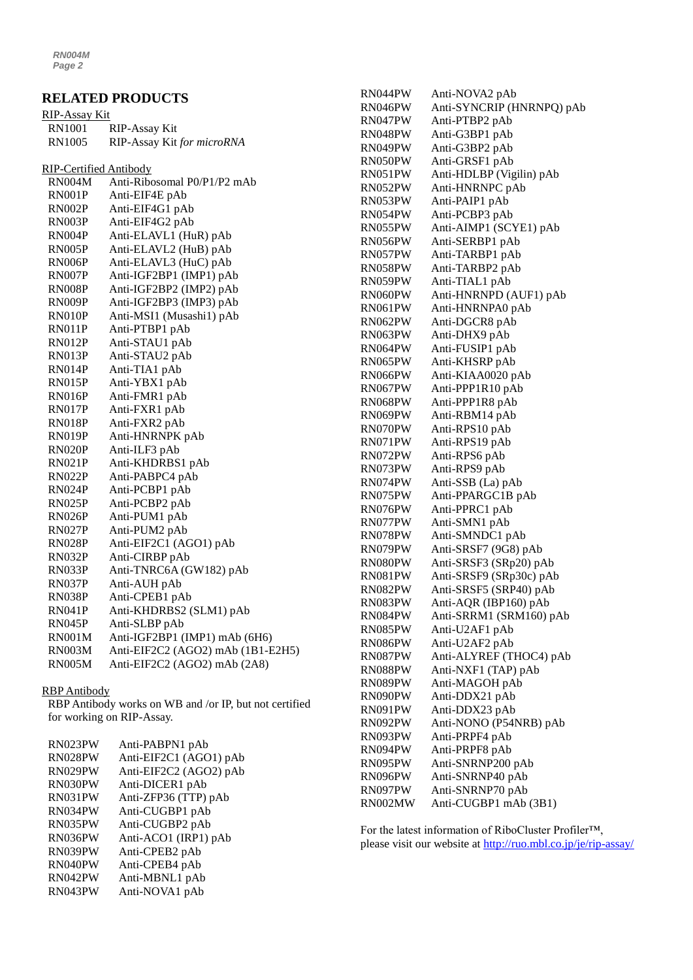*RN004M Page 2*

# **RELATED PRODUCTS**

| <b>RIP-Assay Kit</b>          |                                   |
|-------------------------------|-----------------------------------|
| <b>RN1001</b>                 | <b>RIP-Assay Kit</b>              |
| <b>RN1005</b>                 | RIP-Assay Kit for microRNA        |
| <b>RIP-Certified Antibody</b> |                                   |
| RN004M                        | Anti-Ribosomal P0/P1/P2 mAb       |
| RN001P                        | Anti-EIF4E pAb                    |
| RN002P                        | Anti-EIF4G1 pAb                   |
| RN003P                        | Anti-EIF4G2 pAb                   |
| RN004P                        | Anti-ELAVL1 (HuR) pAb             |
| RN005P                        | Anti-ELAVL2 (HuB) pAb             |
| RN006P                        | Anti-ELAVL3 (HuC) pAb             |
| RN007P                        | Anti-IGF2BP1 (IMP1) pAb           |
| RN008P                        | Anti-IGF2BP2 (IMP2) pAb           |
| RN009P                        | Anti-IGF2BP3 (IMP3) pAb           |
| RN010P                        | Anti-MSI1 (Musashi1) pAb          |
| RN011P                        | Anti-PTBP1 pAb                    |
| RN012P                        | Anti-STAU1 pAb                    |
| RN013P                        | Anti-STAU2 pAb                    |
| RN014P                        | Anti-TIA1 pAb                     |
| RN015P                        | Anti-YBX1 pAb                     |
| RN016P                        | Anti-FMR1 pAb                     |
| RN017P                        | Anti-FXR1 pAb                     |
| RN018P                        | Anti-FXR2 pAb                     |
| <b>RN019P</b>                 | Anti-HNRNPK pAb                   |
| RN020P                        | Anti-ILF3 pAb                     |
| RN021P                        | Anti-KHDRBS1 pAb                  |
| RN022P                        | Anti-PABPC4 pAb                   |
| RN024P                        | Anti-PCBP1 pAb                    |
| RN025P                        | Anti-PCBP2 pAb                    |
| RN026P                        | Anti-PUM1 pAb                     |
| <b>RN027P</b>                 | Anti-PUM2 pAb                     |
| <b>RN028P</b>                 | Anti-EIF2C1 (AGO1) pAb            |
| RN032P                        | Anti-CIRBP pAb                    |
| RN033P                        | Anti-TNRC6A (GW182) pAb           |
| RN037P                        | Anti-AUH pAb                      |
| RN038P                        | Anti-CPEB1 pAb                    |
| RN041P                        | Anti-KHDRBS2 (SLM1) pAb           |
| RN045P                        | Anti-SLBP pAb                     |
| <b>RN001M</b>                 | Anti-IGF2BP1 (IMP1) mAb (6H6)     |
| <b>RN003M</b>                 | Anti-EIF2C2 (AGO2) mAb (1B1-E2H5) |
| <b>RN005M</b>                 | Anti-EIF2C2 (AGO2) mAb (2A8)      |

#### RBP Antibody

RBP Antibody works on WB and /or IP, but not certified for working on RIP-Assay.

| RN023PW | Anti-PABPN1 pAb        |
|---------|------------------------|
| RN028PW | Anti-EIF2C1 (AGO1) pAb |
| RN029PW | Anti-EIF2C2 (AGO2) pAb |
| RN030PW | Anti-DICER1 pAb        |
| RN031PW | Anti-ZFP36 (TTP) pAb   |
| RN034PW | Anti-CUGBP1 pAb        |
| RN035PW | Anti-CUGBP2 pAb        |
| RN036PW | Anti-ACO1 (IRP1) pAb   |
| RN039PW | Anti-CPEB2 pAb         |
| RN040PW | Anti-CPEB4 pAb         |
| RN042PW | Anti-MBNL1 pAb         |
| RN043PW | Anti-NOVA1 pAb         |

| RN044PW | Anti-NOVA2 pAb            |
|---------|---------------------------|
| RN046PW | Anti-SYNCRIP (HNRNPQ) pAb |
| RN047PW | Anti-PTBP2 pAb            |
| RN048PW | Anti-G3BP1 pAb            |
| RN049PW | Anti-G3BP2 pAb            |
| RN050PW | Anti-GRSF1 pAb            |
| RN051PW | Anti-HDLBP (Vigilin) pAb  |
| RN052PW | Anti-HNRNPC pAb           |
| RN053PW | Anti-PAIP1 pAb            |
| RN054PW | Anti-PCBP3 pAb            |
| RN055PW | Anti-AIMP1 (SCYE1) pAb    |
| RN056PW | Anti-SERBP1 pAb           |
| RN057PW | Anti-TARBP1 pAb           |
| RN058PW | Anti-TARBP2 pAb           |
| RN059PW | Anti-TIAL1 pAb            |
| RN060PW | Anti-HNRNPD (AUF1) pAb    |
| RN061PW | Anti-HNRNPA0 pAb          |
| RN062PW | Anti-DGCR8 pAb            |
| RN063PW | Anti-DHX9 pAb             |
| RN064PW | Anti-FUSIP1 pAb           |
| RN065PW | Anti-KHSRP pAb            |
| RN066PW | Anti-KIAA0020 pAb         |
| RN067PW | Anti-PPP1R10 pAb          |
| RN068PW | Anti-PPP1R8 pAb           |
| RN069PW | Anti-RBM14 pAb            |
| RN070PW | Anti-RPS10 pAb            |
| RN071PW | Anti-RPS19 pAb            |
| RN072PW | Anti-RPS6 pAb             |
| RN073PW | Anti-RPS9 pAb             |
| RN074PW | Anti-SSB (La) pAb         |
| RN075PW | Anti-PPARGC1B pAb         |
| RN076PW | Anti-PPRC1 pAb            |
| RN077PW | Anti-SMN1 pAb             |
| RN078PW | Anti-SMNDC1 pAb           |
| RN079PW | Anti-SRSF7 (9G8) pAb      |
| RN080PW | Anti-SRSF3 (SRp20) pAb    |
| RN081PW | Anti-SRSF9 (SRp30c) pAb   |
| RN082PW | Anti-SRSF5 (SRP40) pAb    |
| RN083PW | Anti-AQR (IBP160) pAb     |
| RN084PW | Anti-SRRM1 (SRM160) pAb   |
| RN085PW | Anti-U2AF1 pAb            |
| RN086PW | Anti-U2AF2 pAb            |
| RN087PW | Anti-ALYREF (THOC4) pAb   |
| RN088PW | Anti-NXF1 (TAP) pAb       |
| RN089PW | Anti-MAGOH pAb            |
| RN090PW | Anti-DDX21 pAb            |
| RN091PW | Anti-DDX23 pAb            |
| RN092PW | Anti-NONO (P54NRB) pAb    |
| RN093PW | Anti-PRPF4 pAb            |
| RN094PW | Anti-PRPF8 pAb            |
| RN095PW | Anti-SNRNP200 pAb         |
| RN096PW | Anti-SNRNP40 pAb          |
| RN097PW | Anti-SNRNP70 pAb          |
| RN002MW | Anti-CUGBP1 mAb (3B1)     |
|         |                           |

For the latest information of RiboCluster Profiler™, please visit our website at [http://ruo.mbl.co.jp/je/rip-assay/](https://ruo.mbl.co.jp/je/rip-assay/)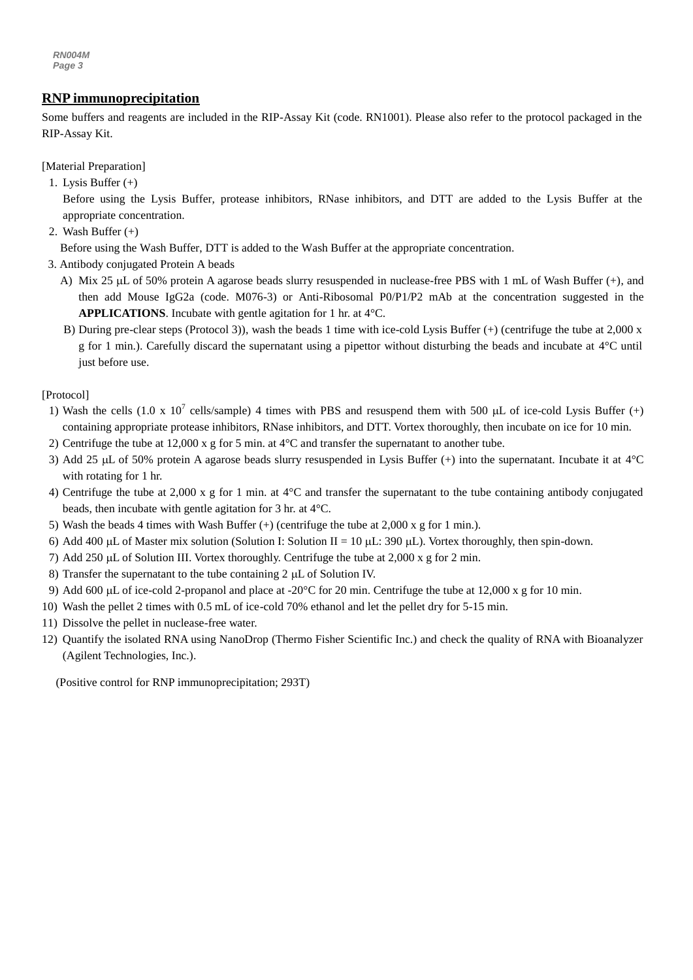# *g* **RNP immunoprecipitation**

**Example 1.1 Example 1.1 example 1.1 Condensation** Some buffers and response to the protocol packaged in the Some buffers and reagents are included in the RIP-Assay Kit (code. RN1001). Please also refer to the protoc RIP-Assay Kit.

[Material Preparation]

- 1. Lysis Buffer (+)
	- Before using the Lysis Buffer, protease inhibitors, RNase inhibitors, and DTT are added to the Lysis Buffer at the appropriate concentration.
- 2. Wash Buffer (+)

Before using the Wash Buffer, DTT is added to the Wash Buffer at the appropriate concentration.

- 3. Antibody conjugated Protein A beads
	- A) Mix 25 µL of 50% protein A agarose beads slurry resuspended in nuclease-free PBS with 1 mL of Wash Buffer (+), and then add Mouse IgG2a (code. M076-3) or Anti-Ribosomal P0/P1/P2 mAb at the concentration suggested in the **APPLICATIONS**. Incubate with gentle agitation for 1 hr. at 4°C.
	- B) During pre-clear steps (Protocol 3)), wash the beads 1 time with ice-cold Lysis Buffer (+) (centrifuge the tube at 2,000 x g for 1 min.). Carefully discard the supernatant using a pipettor without disturbing the beads and incubate at 4°C until just before use.

[Protocol]

- 1) Wash the cells  $(1.0 \times 10^7 \text{ cells/sample})$  4 times with PBS and resuspend them with 500 µL of ice-cold Lysis Buffer (+) containing appropriate protease inhibitors, RNase inhibitors, and DTT. Vortex thoroughly, then incubate on ice for 10 min.
- 2) Centrifuge the tube at 12,000 x g for 5 min. at 4°C and transfer the supernatant to another tube.
- 3) Add 25  $\mu$ L of 50% protein A agarose beads slurry resuspended in Lysis Buffer (+) into the supernatant. Incubate it at 4°C with rotating for 1 hr.
- 4) Centrifuge the tube at 2,000 x g for 1 min. at 4°C and transfer the supernatant to the tube containing antibody conjugated beads, then incubate with gentle agitation for 3 hr. at 4°C.
- 5) Wash the beads 4 times with Wash Buffer  $(+)$  (centrifuge the tube at 2,000 x g for 1 min.).
- 6) Add 400 µL of Master mix solution (Solution I: Solution II = 10 µL: 390 µL). Vortex thoroughly, then spin-down.
- 7) Add 250  $\mu$ L of Solution III. Vortex thoroughly. Centrifuge the tube at 2,000 x g for 2 min.
- 8) Transfer the supernatant to the tube containing  $2 \mu L$  of Solution IV.
- 9) Add 600  $\mu$ L of ice-cold 2-propanol and place at -20 $\degree$ C for 20 min. Centrifuge the tube at 12,000 x g for 10 min.
- 10) Wash the pellet 2 times with 0.5 mL of ice-cold 70% ethanol and let the pellet dry for 5-15 min.
- 11) Dissolve the pellet in nuclease-free water.
- 12) Quantify the isolated RNA using NanoDrop (Thermo Fisher Scientific Inc.) and check the quality of RNA with Bioanalyzer (Agilent Technologies, Inc.).

(Positive control for RNP immunoprecipitation; 293T)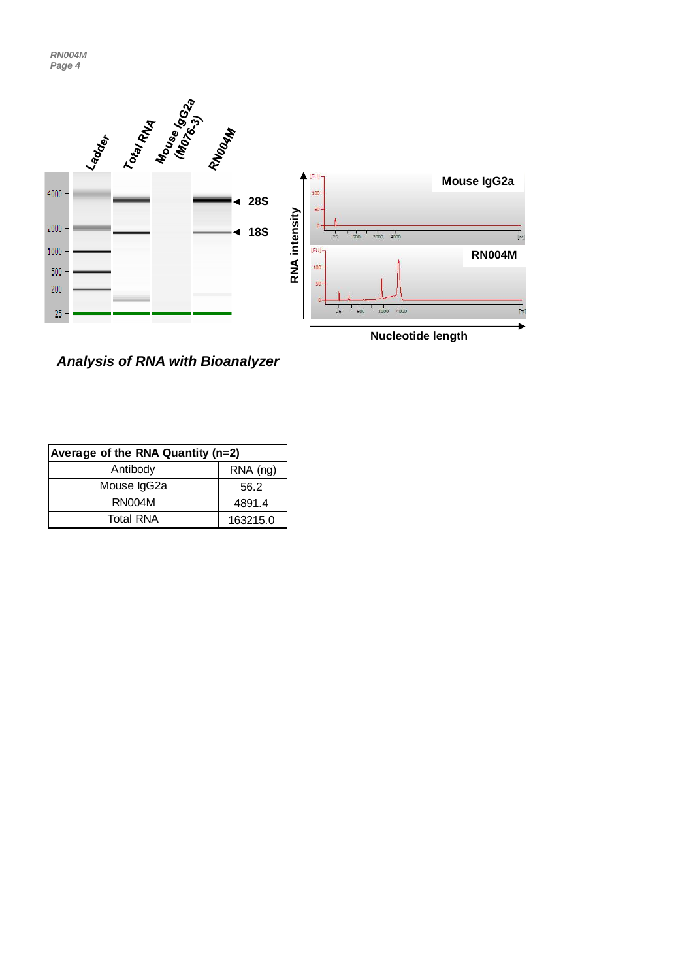

*Analysis of RNA with Bioanalyzer*

| Average of the RNA Quantity (n=2) |          |  |
|-----------------------------------|----------|--|
| Antibody                          | RNA (ng) |  |
| Mouse IgG2a                       | 56.2     |  |
| RN004M                            | 4891.4   |  |
| <b>Total RNA</b>                  | 163215.0 |  |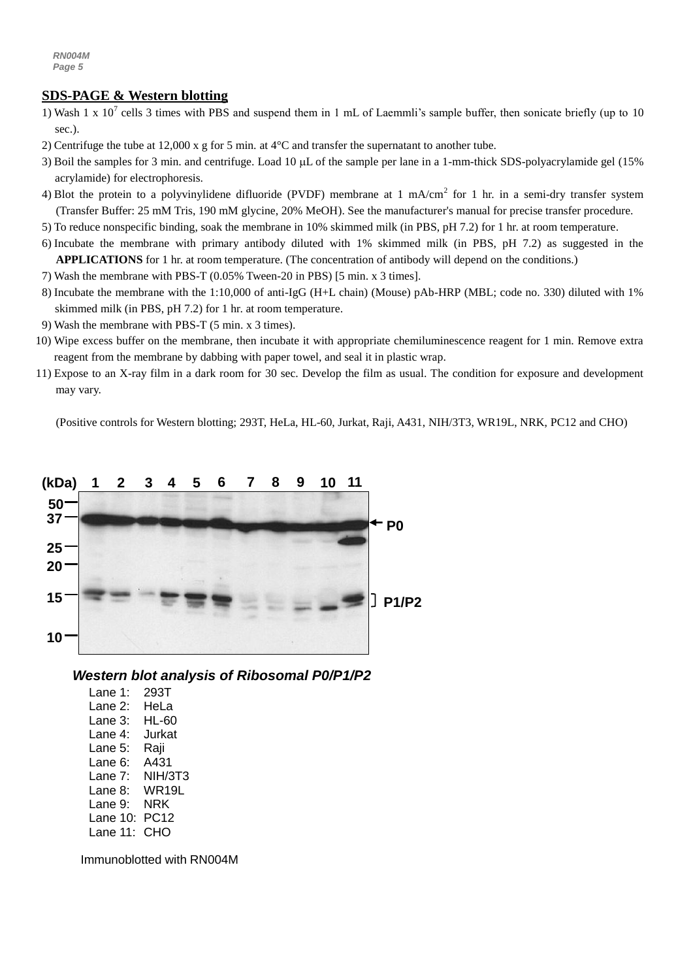# **SDS-PAGE & Western blotting**

- 1) Wash 1 x  $10^7$  cells 3 times with PBS and suspend them in 1 mL of Laemmli's sample buffer, then sonicate briefly (up to 10 sec.).
- 2) Centrifuge the tube at 12,000 x g for 5 min. at 4°C and transfer the supernatant to another tube.
- 3) Boil the samples for 3 min. and centrifuge. Load 10  $\mu$ L of the sample per lane in a 1-mm-thick SDS-polyacrylamide gel (15%) acrylamide) for electrophoresis.
- 4) Blot the protein to a polyvinylidene difluoride (PVDF) membrane at 1 mA/cm<sup>2</sup> for 1 hr. in a semi-dry transfer system (Transfer Buffer: 25 mM Tris, 190 mM glycine, 20% MeOH). See the manufacturer's manual for precise transfer procedure.
- 5) To reduce nonspecific binding, soak the membrane in 10% skimmed milk (in PBS, pH 7.2) for 1 hr. at room temperature.
- 6) Incubate the membrane with primary antibody diluted with 1% skimmed milk (in PBS, pH 7.2) as suggested in the **APPLICATIONS** for 1 hr. at room temperature. (The concentration of antibody will depend on the conditions.)
- 7) Wash the membrane with PBS-T (0.05% Tween-20 in PBS) [5 min. x 3 times].
- 8) Incubate the membrane with the 1:10,000 of [anti-IgG \(H+L chain\) \(Mouse\) pAb-HRP](http://ruo.mbl.co.jp/g/dtl/A/330/) (MBL; code no. 330) diluted with 1% skimmed milk (in PBS, pH 7.2) for 1 hr. at room temperature.
- 9) Wash the membrane with PBS-T (5 min. x 3 times).
- 10) Wipe excess buffer on the membrane, then incubate it with appropriate chemiluminescence reagent for 1 min. Remove extra reagent from the membrane by dabbing with paper towel, and seal it in plastic wrap.
- 11) Expose to an X-ray film in a dark room for 30 sec. Develop the film as usual. The condition for exposure and development may vary.

(Positive controls for Western blotting; 293T, HeLa, HL-60, Jurkat, Raji, A431, NIH/3T3, WR19L, NRK, PC12 and CHO)



# *Western blot analysis of Ribosomal P0/P1/P2*

Lane 1: 293T Lane 2: HeLa Lane 3: HL-60 Lane 4: Jurkat Lane 5: Raji Lane 6: A431 Lane 7: NIH/3T3 Lane 8: WR19L Lane 9: NRK Lane 10: PC12 Lane 11: CHO

Immunoblotted with RN004M